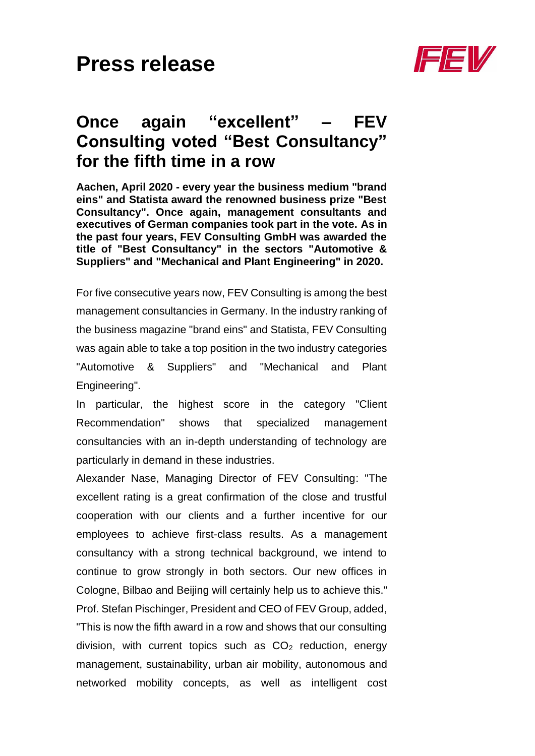

## **Once again "excellent" – FEV Consulting voted "Best Consultancy" for the fifth time in a row**

**Aachen, April 2020 - every year the business medium "brand eins" and Statista award the renowned business prize "Best Consultancy". Once again, management consultants and executives of German companies took part in the vote. As in the past four years, FEV Consulting GmbH was awarded the title of "Best Consultancy" in the sectors "Automotive & Suppliers" and "Mechanical and Plant Engineering" in 2020.**

For five consecutive years now, FEV Consulting is among the best management consultancies in Germany. In the industry ranking of the business magazine "brand eins" and Statista, FEV Consulting was again able to take a top position in the two industry categories "Automotive & Suppliers" and "Mechanical and Plant Engineering".

In particular, the highest score in the category "Client Recommendation" shows that specialized management consultancies with an in-depth understanding of technology are particularly in demand in these industries.

Alexander Nase, Managing Director of FEV Consulting: "The excellent rating is a great confirmation of the close and trustful cooperation with our clients and a further incentive for our employees to achieve first-class results. As a management consultancy with a strong technical background, we intend to continue to grow strongly in both sectors. Our new offices in Cologne, Bilbao and Beijing will certainly help us to achieve this." Prof. Stefan Pischinger, President and CEO of FEV Group, added, "This is now the fifth award in a row and shows that our consulting division, with current topics such as  $CO<sub>2</sub>$  reduction, energy management, sustainability, urban air mobility, autonomous and networked mobility concepts, as well as intelligent cost